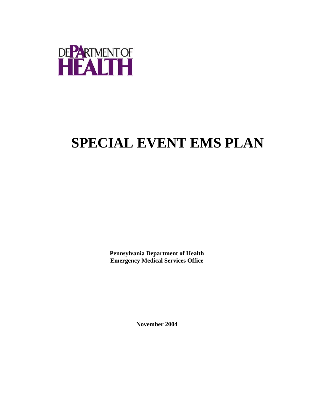

## **SPECIAL EVENT EMS PLAN**

**Pennsylvania Department of Health Emergency Medical Services Office**

**November 2004**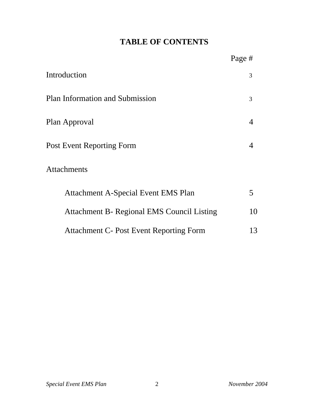## **TABLE OF CONTENTS**

|                                                   | Page # |
|---------------------------------------------------|--------|
| Introduction                                      | 3      |
| <b>Plan Information and Submission</b>            | 3      |
| Plan Approval                                     | 4      |
| Post Event Reporting Form                         | 4      |
| <b>Attachments</b>                                |        |
| Attachment A-Special Event EMS Plan               | 5      |
| <b>Attachment B- Regional EMS Council Listing</b> | 10     |
| <b>Attachment C- Post Event Reporting Form</b>    | 13     |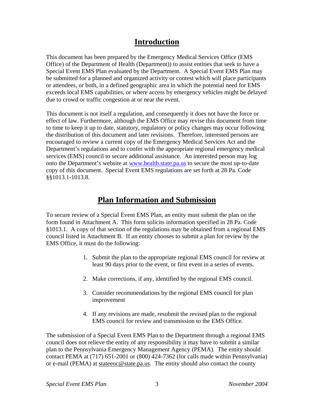## **Introduction**

This document has been prepared by the Emergency Medical Services Office (EMS Office) of the Department of Health (Department)) to assist entities that seek to have a Special Event EMS Plan evaluated by the Department. A Special Event EMS Plan may be submitted for a planned and organized activity or contest which will place participants or attendees, or both, in a defined geographic area in which the potential need for EMS exceeds local EMS capabilities, or where access by emergency vehicles might be delayed due to crowd or traffic congestion at or near the event.

This document is not itself a regulation, and consequently it does not have the force or effect of law. Furthermore, although the EMS Office may revise this document from time to time to keep it up to date, statutory, regulatory or policy changes may occur following the distribution of this document and later revisions. Therefore, interested persons are encouraged to review a current copy of the Emergency Medical Services Act and the Department's regulations and to confer with the appropriate regional emergency medical services (EMS) council to secure additional assistance. An interested person may log onto the Department's website at www.health.state.pa.us to secure the most up-to-date copy of this document. Special Event EMS regulations are set forth at 28 Pa. Code §§1013.1-1013.8.

### **Plan Information and Submission**

To secure review of a Special Event EMS Plan, an entity must submit the plan on the form found in Attachment A. This form solicits information specified in 28 Pa. Code §1013.1. A copy of that section of the regulations may be obtained from a regional EMS council listed in Attachment B. If an entity chooses to submit a plan for review by the EMS Office, it must do the following:

- 1. Submit the plan to the appropriate regional EMS council for review at least 90 days prior to the event, or first event in a series of events.
- 2. Make corrections, if any, identified by the regional EMS council.
- 3. Consider recommendations by the regional EMS council for plan improvement
- 4. If any revisions are made, resubmit the revised plan to the regional EMS council for review and transmission to the EMS Office.

The submission of a Special Event EMS Plan to the Department through a regional EMS council does not relieve the entity of any responsibility it may have to submit a similar plan to the Pennsylvania Emergency Management Agency (PEMA). The entity should contact PEMA at (717) 651-2001 or (800) 424-7362 (for calls made within Pennsylvania) or e-mail (PEMA) at stateeoc@state.pa.us. The entity should also contact the county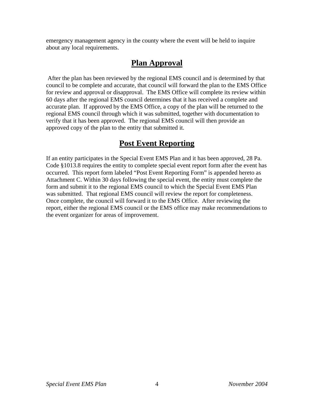emergency management agency in the county where the event will be held to inquire about any local requirements.

## **Plan Approval**

 After the plan has been reviewed by the regional EMS council and is determined by that council to be complete and accurate, that council will forward the plan to the EMS Office for review and approval or disapproval. The EMS Office will complete its review within 60 days after the regional EMS council determines that it has received a complete and accurate plan. If approved by the EMS Office, a copy of the plan will be returned to the regional EMS council through which it was submitted, together with documentation to verify that it has been approved. The regional EMS council will then provide an approved copy of the plan to the entity that submitted it.

## **Post Event Reporting**

If an entity participates in the Special Event EMS Plan and it has been approved, 28 Pa. Code §1013.8 requires the entity to complete special event report form after the event has occurred. This report form labeled "Post Event Reporting Form" is appended hereto as Attachment C. Within 30 days following the special event, the entity must complete the form and submit it to the regional EMS council to which the Special Event EMS Plan was submitted. That regional EMS council will review the report for completeness. Once complete, the council will forward it to the EMS Office. After reviewing the report, either the regional EMS council or the EMS office may make recommendations to the event organizer for areas of improvement.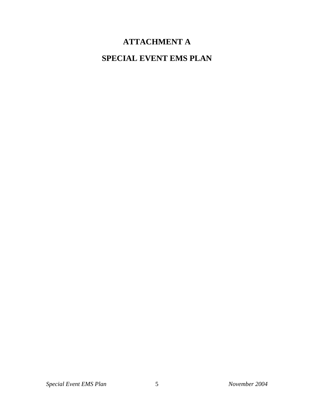## **ATTACHMENT A**

## **SPECIAL EVENT EMS PLAN**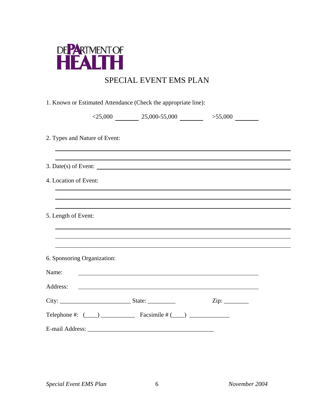

## SPECIAL EVENT EMS PLAN

| 1. Known or Estimated Attendance (Check the appropriate line): |  |
|----------------------------------------------------------------|--|
|----------------------------------------------------------------|--|

|  | $<$ 25,000 | 25,000-55,000 | >55,000 |
|--|------------|---------------|---------|
|--|------------|---------------|---------|

2. Types and Nature of Event:

| $3. Date(s) of Event: \n$                                                                                                      |
|--------------------------------------------------------------------------------------------------------------------------------|
| 4. Location of Event:                                                                                                          |
|                                                                                                                                |
| 5. Length of Event:                                                                                                            |
|                                                                                                                                |
|                                                                                                                                |
| 6. Sponsoring Organization:                                                                                                    |
| Name:<br><u> 1989 - Johann Harry Harry Harry Harry Harry Harry Harry Harry Harry Harry Harry Harry Harry Harry Harry Harry</u> |
| Address:<br><u> 1980 - Andrea Stadt Britain, amerikansk politik (d. 1980)</u>                                                  |
| $\overline{\mathrm{Zip:}}$                                                                                                     |
| Telephone #: $(\_\_\_\_\_\_\_\_\$ Facsimile # $(\_\_\_\_\_\_\_\_\_\_\_\_\_$                                                    |
|                                                                                                                                |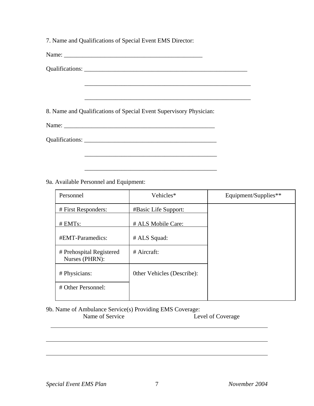7. Name and Qualifications of Special Event EMS Director:

Name: \_\_\_\_\_\_\_\_\_\_\_\_\_\_\_\_\_\_\_\_\_\_\_\_\_\_\_\_\_\_\_\_\_\_\_\_\_\_\_\_\_\_\_\_\_

Qualifications: \_\_\_\_\_\_\_\_\_\_\_\_\_\_\_\_\_\_\_\_\_\_\_\_\_\_\_\_\_\_\_\_\_\_\_\_\_\_\_\_\_\_\_\_\_\_\_\_\_\_\_\_\_

8. Name and Qualifications of Special Event Supervisory Physician:

 $\overline{\phantom{a}}$  ,  $\overline{\phantom{a}}$  ,  $\overline{\phantom{a}}$  ,  $\overline{\phantom{a}}$  ,  $\overline{\phantom{a}}$  ,  $\overline{\phantom{a}}$  ,  $\overline{\phantom{a}}$  ,  $\overline{\phantom{a}}$  ,  $\overline{\phantom{a}}$  ,  $\overline{\phantom{a}}$  ,  $\overline{\phantom{a}}$  ,  $\overline{\phantom{a}}$  ,  $\overline{\phantom{a}}$  ,  $\overline{\phantom{a}}$  ,  $\overline{\phantom{a}}$  ,  $\overline{\phantom{a}}$ 

Name: \_\_\_\_\_\_\_\_\_\_\_\_\_\_\_\_\_\_\_\_\_\_\_\_\_\_\_\_\_\_\_\_\_\_\_\_\_\_\_\_\_\_\_\_\_\_\_\_\_

Qualifications: \_\_\_\_\_\_\_\_\_\_\_\_\_\_\_\_\_\_\_\_\_\_\_\_\_\_\_\_\_\_\_\_\_\_\_\_\_\_\_\_\_\_\_

9a. Available Personnel and Equipment:

| Personnel                                  | Vehicles*                  | Equipment/Supplies** |
|--------------------------------------------|----------------------------|----------------------|
| # First Responders:                        | #Basic Life Support:       |                      |
| $# EMTs$ :                                 | # ALS Mobile Care:         |                      |
| #EMT-Paramedics:                           | # ALS Squad:               |                      |
| # Prehospital Registered<br>Nurses (PHRN): | $#$ Aircraft:              |                      |
| # Physicians:                              | Other Vehicles (Describe): |                      |
| # Other Personnel:                         |                            |                      |

\_\_\_\_\_\_\_\_\_\_\_\_\_\_\_\_\_\_\_\_\_\_\_\_\_\_\_\_\_\_\_\_\_\_\_\_\_\_\_\_\_\_\_\_\_\_\_\_\_\_\_\_\_\_

\_\_\_\_\_\_\_\_\_\_\_\_\_\_\_\_\_\_\_\_\_\_\_\_\_\_\_\_\_\_\_\_\_\_\_\_\_\_\_\_\_\_\_

#### 9b. Name of Ambulance Service(s) Providing EMS Coverage: Name of Service Level of Coverage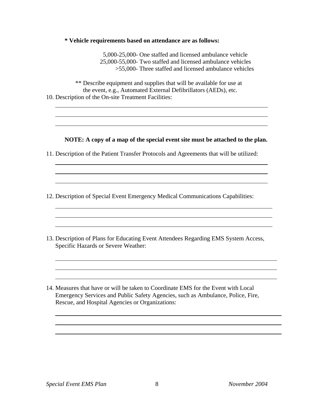#### **\* Vehicle requirements based on attendance are as follows:**

 5,000-25,000- One staffed and licensed ambulance vehicle 25,000-55,000- Two staffed and licensed ambulance vehicles >55,000- Three staffed and licensed ambulance vehicles

 \*\* Describe equipment and supplies that will be available for use at the event, e.g., Automated External Defibrillators (AEDs), etc. 10. Description of the On-site Treatment Facilities:

**NOTE: A copy of a map of the special event site must be attached to the plan.**

- 11. Description of the Patient Transfer Protocols and Agreements that will be utilized:
- 12. Description of Special Event Emergency Medical Communications Capabilities:
- 13. Description of Plans for Educating Event Attendees Regarding EMS System Access, Specific Hazards or Severe Weather:
- 14. Measures that have or will be taken to Coordinate EMS for the Event with Local Emergency Services and Public Safety Agencies, such as Ambulance, Police, Fire, Rescue, and Hospital Agencies or Organizations: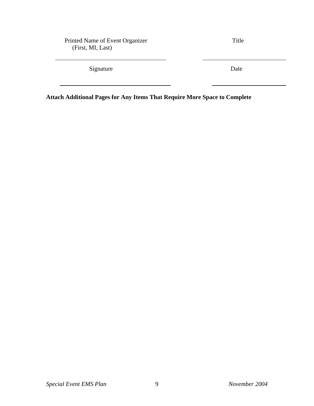Printed Name of Event Organizer Title (First, MI, Last)

Signature Date

**Attach Additional Pages for Any Items That Require More Space to Complete**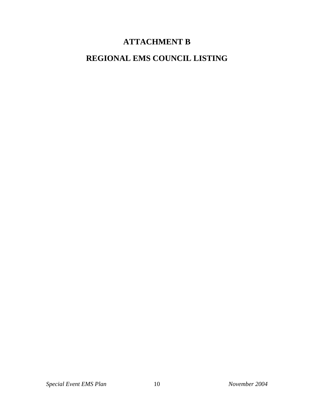## **ATTACHMENT B**

## **REGIONAL EMS COUNCIL LISTING**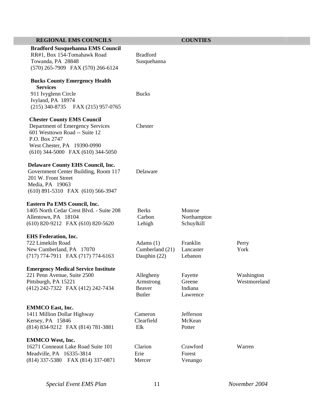#### **REGIONAL EMS COUNCILS COUNTIES**

 **Bradford Susquehanna EMS Council**  RR#1, Box 154-Tomahawk Road Bradford Towanda, PA 28848 Susquehanna (570) 265-7909 FAX (570) 266-6124

#### **Bucks County Emergency Health Services**

911 Ivyglenn Circle Bucks Ivyland, PA 18974 (215) 340-8735 FAX (215) 957-0765

#### **Chester County EMS Council**

 Department of Emergency Services Chester 601 Westtown Road -- Suite 12 P.O. Box 2747 West Chester, PA 19390-0990 (610) 344-5000 FAX (610) 344-5050

#### **Delaware County EHS Council, Inc.**

 Government Center Building, Room 117 Delaware 201 W. Front Street Media, PA 19063 (610) 891-5310 FAX (610) 566-3947

#### **Eastern Pa EMS Council, Inc.**

| 1405 North Cedar Crest Blvd. - Suite 208 | <b>Berks</b> | Monroe   |
|------------------------------------------|--------------|----------|
| Allentown, PA 18104                      | Carbon       | Northam  |
| $(610)$ 820-9212 FAX $(610)$ 820-5620    | Lehigh       | Schuylki |

#### **EHS Federation, Inc.**

(717) 774-7911 FAX (717) 774-6163 Dauphin (22) Lebanon

#### **Emergency Medical Service Institute**

(412) 242-7322 FAX (412) 242-7434 Beaver Indiana

#### **EMMCO East, Inc.**

 1411 Million Dollar Highway Cameron Jefferson Kersey, PA 15846 Clearfield McKean (814) 834-9212 FAX (814) 781-3881 Elk Potter

#### **EMMCO West, Inc.**

 16271 Conneaut Lake Road Suite 101 Clarion Crawford Warren Meadville, PA 16335-3814 Erie Forest (814) 337-5380 FAX (814) 337-0871 Mercer Venango

# Northampton Schuylkill 722 Limekiln Road Adams (1) Franklin Perry New Cumberland, PA 17070 Cumberland (21) Lancaster York 221 Penn Avenue, Suite 2500 Allegheny Fayette Washington Pittsburgh, PA 15221 Armstrong Greene Westmoreland Butler Lawrence

*Special Event EMS Plan* 11 *November 2004*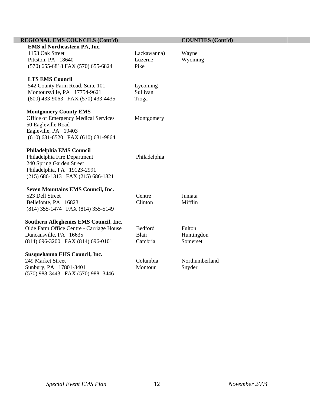| <b>REGIONAL EMS COUNCILS (Cont'd)</b>    |                   | <b>COUNTIES</b> (Cont'd) |
|------------------------------------------|-------------------|--------------------------|
| <b>EMS</b> of Northeastern PA, Inc.      |                   |                          |
| 1153 Oak Street                          | Lackawanna)       | Wayne                    |
| Pittston, PA 18640                       | Luzerne           | Wyoming                  |
| (570) 655-6818 FAX (570) 655-6824        | Pike              |                          |
|                                          |                   |                          |
| <b>LTS EMS Council</b>                   |                   |                          |
| 542 County Farm Road, Suite 101          | Lycoming          |                          |
| Montoursville, PA 17754-9621             | Sullivan          |                          |
| (800) 433-9063 FAX (570) 433-4435        | Tioga             |                          |
| <b>Montgomery County EMS</b>             |                   |                          |
| Office of Emergency Medical Services     | Montgomery        |                          |
| 50 Eagleville Road                       |                   |                          |
| Eagleville, PA 19403                     |                   |                          |
| $(610) 631-6520$ FAX $(610) 631-9864$    |                   |                          |
|                                          |                   |                          |
| Philadelphia EMS Council                 |                   |                          |
| Philadelphia Fire Department             | Philadelphia      |                          |
| 240 Spring Garden Street                 |                   |                          |
| Philadelphia, PA 19123-2991              |                   |                          |
| (215) 686-1313 FAX (215) 686-1321        |                   |                          |
|                                          |                   |                          |
| <b>Seven Mountains EMS Council, Inc.</b> |                   |                          |
| 523 Dell Street                          | Centre<br>Clinton | Juniata<br>Mifflin       |
| Bellefonte, PA 16823                     |                   |                          |
| (814) 355-1474 FAX (814) 355-5149        |                   |                          |
| Southern Alleghenies EMS Council, Inc.   |                   |                          |
| Olde Farm Office Centre - Carriage House | Bedford           | Fulton                   |
| Duncansville, PA 16635                   | Blair             | Huntingdon               |
| (814) 696-3200 FAX (814) 696-0101        | Cambria           | Somerset                 |
|                                          |                   |                          |
| Susquehanna EHS Council, Inc.            |                   |                          |
| 249 Market Street                        | Columbia          | Northumberland           |
| Sunbury, PA 17801-3401                   | Montour           | Snyder                   |
| (570) 988-3443 FAX (570) 988-3446        |                   |                          |